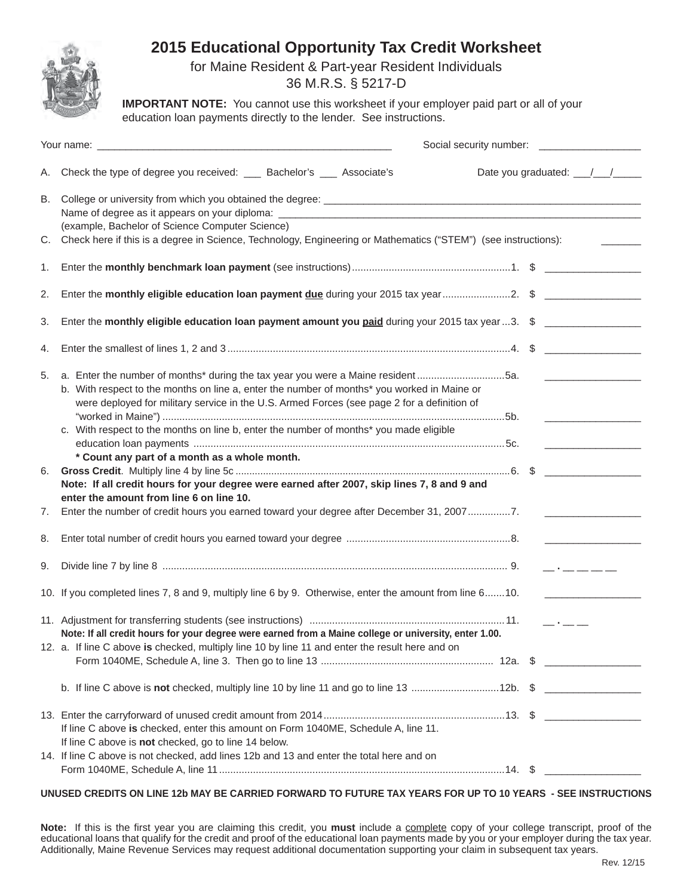

# **2015 Educational Opportunity Tax Credit Worksheet**

for Maine Resident & Part-year Resident Individuals

36 M.R.S. § 5217-D

**IMPORTANT NOTE:** You cannot use this worksheet if your employer paid part or all of your education loan payments directly to the lender. See instructions.

| Your name: Now Your name and the state of the state of the state of the state of the state of the state of the<br>Social security number: _________________ |                                                                                                                                                                                                                                                                                                                                                                                                                          |                                                                                                                                                                                                                                                                                                                                                                                                                                               |
|-------------------------------------------------------------------------------------------------------------------------------------------------------------|--------------------------------------------------------------------------------------------------------------------------------------------------------------------------------------------------------------------------------------------------------------------------------------------------------------------------------------------------------------------------------------------------------------------------|-----------------------------------------------------------------------------------------------------------------------------------------------------------------------------------------------------------------------------------------------------------------------------------------------------------------------------------------------------------------------------------------------------------------------------------------------|
| А.                                                                                                                                                          | Check the type of degree you received: ___ Bachelor's ___ Associate's                                                                                                                                                                                                                                                                                                                                                    | Date you graduated: \[\[\]                                                                                                                                                                                                                                                                                                                                                                                                                    |
| В.                                                                                                                                                          | (example, Bachelor of Science Computer Science)                                                                                                                                                                                                                                                                                                                                                                          |                                                                                                                                                                                                                                                                                                                                                                                                                                               |
| C.                                                                                                                                                          | Check here if this is a degree in Science, Technology, Engineering or Mathematics ("STEM") (see instructions):                                                                                                                                                                                                                                                                                                           |                                                                                                                                                                                                                                                                                                                                                                                                                                               |
| 1.                                                                                                                                                          |                                                                                                                                                                                                                                                                                                                                                                                                                          |                                                                                                                                                                                                                                                                                                                                                                                                                                               |
| 2.                                                                                                                                                          |                                                                                                                                                                                                                                                                                                                                                                                                                          |                                                                                                                                                                                                                                                                                                                                                                                                                                               |
| 3.                                                                                                                                                          | Enter the monthly eligible education loan payment amount you paid during your 2015 tax year 3. $\,$ \$                                                                                                                                                                                                                                                                                                                   |                                                                                                                                                                                                                                                                                                                                                                                                                                               |
| 4.                                                                                                                                                          |                                                                                                                                                                                                                                                                                                                                                                                                                          |                                                                                                                                                                                                                                                                                                                                                                                                                                               |
| 5.                                                                                                                                                          | a. Enter the number of months* during the tax year you were a Maine resident5a.<br>b. With respect to the months on line a, enter the number of months* you worked in Maine or<br>were deployed for military service in the U.S. Armed Forces (see page 2 for a definition of<br>c. With respect to the months on line b, enter the number of months* you made eligible<br>* Count any part of a month as a whole month. |                                                                                                                                                                                                                                                                                                                                                                                                                                               |
| 6.                                                                                                                                                          | Note: If all credit hours for your degree were earned after 2007, skip lines 7, 8 and 9 and                                                                                                                                                                                                                                                                                                                              |                                                                                                                                                                                                                                                                                                                                                                                                                                               |
| 7.                                                                                                                                                          | enter the amount from line 6 on line 10.<br>Enter the number of credit hours you earned toward your degree after December 31, 20077.                                                                                                                                                                                                                                                                                     |                                                                                                                                                                                                                                                                                                                                                                                                                                               |
| 8.                                                                                                                                                          |                                                                                                                                                                                                                                                                                                                                                                                                                          |                                                                                                                                                                                                                                                                                                                                                                                                                                               |
| 9.                                                                                                                                                          |                                                                                                                                                                                                                                                                                                                                                                                                                          | $\overline{\phantom{a}}$ . $\overline{\phantom{a}}$ . $\overline{\phantom{a}}$ , $\overline{\phantom{a}}$ , $\overline{\phantom{a}}$ , $\overline{\phantom{a}}$ , $\overline{\phantom{a}}$ , $\overline{\phantom{a}}$ , $\overline{\phantom{a}}$ , $\overline{\phantom{a}}$ , $\overline{\phantom{a}}$ , $\overline{\phantom{a}}$ , $\overline{\phantom{a}}$ , $\overline{\phantom{a}}$ , $\overline{\phantom{a}}$ , $\overline{\phantom{a}}$ |
|                                                                                                                                                             | 10. If you completed lines 7, 8 and 9, multiply line 6 by 9. Otherwise, enter the amount from line 610.                                                                                                                                                                                                                                                                                                                  |                                                                                                                                                                                                                                                                                                                                                                                                                                               |
|                                                                                                                                                             | Note: If all credit hours for your degree were earned from a Maine college or university, enter 1.00.<br>12. a. If line C above is checked, multiply line 10 by line 11 and enter the result here and on                                                                                                                                                                                                                 | <b>Contractor</b>                                                                                                                                                                                                                                                                                                                                                                                                                             |
|                                                                                                                                                             |                                                                                                                                                                                                                                                                                                                                                                                                                          |                                                                                                                                                                                                                                                                                                                                                                                                                                               |
|                                                                                                                                                             |                                                                                                                                                                                                                                                                                                                                                                                                                          |                                                                                                                                                                                                                                                                                                                                                                                                                                               |
|                                                                                                                                                             | If line C above is checked, enter this amount on Form 1040ME, Schedule A, line 11.<br>If line C above is not checked, go to line 14 below.                                                                                                                                                                                                                                                                               |                                                                                                                                                                                                                                                                                                                                                                                                                                               |
|                                                                                                                                                             | 14. If line C above is not checked, add lines 12b and 13 and enter the total here and on                                                                                                                                                                                                                                                                                                                                 |                                                                                                                                                                                                                                                                                                                                                                                                                                               |

#### **UNUSED CREDITS ON LINE 12b MAY BE CARRIED FORWARD TO FUTURE TAX YEARS FOR UP TO 10 YEARS - SEE INSTRUCTIONS**

Note: If this is the first year you are claiming this credit, you must include a complete copy of your college transcript, proof of the educational loans that qualify for the credit and proof of the educational loan payments made by you or your employer during the tax year. Additionally, Maine Revenue Services may request additional documentation supporting your claim in subsequent tax years.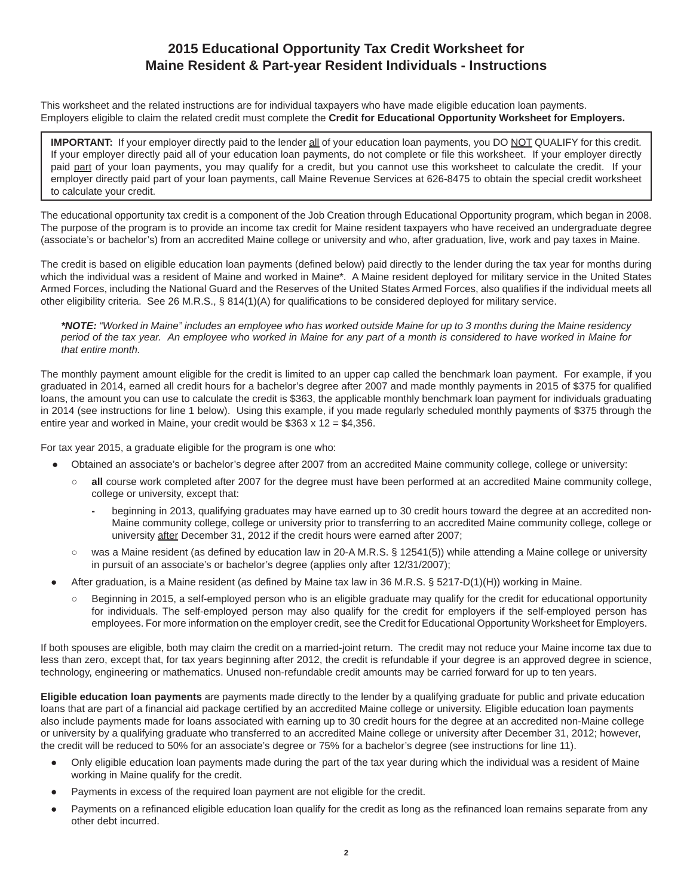## **2015 Educational Opportunity Tax Credit Worksheet for Maine Resident & Part-year Resident Individuals - Instructions**

This worksheet and the related instructions are for individual taxpayers who have made eligible education loan payments. Employers eligible to claim the related credit must complete the **Credit for Educational Opportunity Worksheet for Employers.**

**IMPORTANT:** If your employer directly paid to the lender all of your education loan payments, you DO NOT QUALIFY for this credit. If your employer directly paid all of your education loan payments, do not complete or file this worksheet. If your employer directly paid part of your loan payments, you may qualify for a credit, but you cannot use this worksheet to calculate the credit. If your employer directly paid part of your loan payments, call Maine Revenue Services at 626-8475 to obtain the special credit worksheet to calculate your credit.

The educational opportunity tax credit is a component of the Job Creation through Educational Opportunity program, which began in 2008. The purpose of the program is to provide an income tax credit for Maine resident taxpayers who have received an undergraduate degree (associate's or bachelor's) from an accredited Maine college or university and who, after graduation, live, work and pay taxes in Maine.

The credit is based on eligible education loan payments (defined below) paid directly to the lender during the tax year for months during which the individual was a resident of Maine and worked in Maine<sup>\*</sup>. A Maine resident deployed for military service in the United States Armed Forces, including the National Guard and the Reserves of the United States Armed Forces, also qualifies if the individual meets all other eligibility criteria. See 26 M.R.S.,  $\S 814(1)(A)$  for qualifications to be considered deployed for military service.

*\*NOTE: "Worked in Maine" includes an employee who has worked outside Maine for up to 3 months during the Maine residency period of the tax year. An employee who worked in Maine for any part of a month is considered to have worked in Maine for that entire month.*

The monthly payment amount eligible for the credit is limited to an upper cap called the benchmark loan payment. For example, if you graduated in 2014, earned all credit hours for a bachelor's degree after 2007 and made monthly payments in 2015 of \$375 for qualified loans, the amount you can use to calculate the credit is \$363, the applicable monthly benchmark loan payment for individuals graduating in 2014 (see instructions for line 1 below). Using this example, if you made regularly scheduled monthly payments of \$375 through the entire year and worked in Maine, your credit would be \$363 x 12 = \$4,356.

For tax year 2015, a graduate eligible for the program is one who:

- Obtained an associate's or bachelor's degree after 2007 from an accredited Maine community college, college or university:
	- **○ all** course work completed after 2007 for the degree must have been performed at an accredited Maine community college, college or university, except that:
		- **-** beginning in 2013, qualifying graduates may have earned up to 30 credit hours toward the degree at an accredited non-Maine community college, college or university prior to transferring to an accredited Maine community college, college or university after December 31, 2012 if the credit hours were earned after 2007;
	- was a Maine resident (as defined by education law in 20-A M.R.S. § 12541(5)) while attending a Maine college or university in pursuit of an associate's or bachelor's degree (applies only after 12/31/2007);
- After graduation, is a Maine resident (as defined by Maine tax law in 36 M.R.S. § 5217-D(1)(H)) working in Maine.
	- **○** Beginning in 2015, a self-employed person who is an eligible graduate may qualify for the credit for educational opportunity for individuals. The self-employed person may also qualify for the credit for employers if the self-employed person has employees. For more information on the employer credit, see the Credit for Educational Opportunity Worksheet for Employers.

If both spouses are eligible, both may claim the credit on a married-joint return. The credit may not reduce your Maine income tax due to less than zero, except that, for tax years beginning after 2012, the credit is refundable if your degree is an approved degree in science, technology, engineering or mathematics. Unused non-refundable credit amounts may be carried forward for up to ten years.

**Eligible education loan payments** are payments made directly to the lender by a qualifying graduate for public and private education loans that are part of a financial aid package certified by an accredited Maine college or university. Eligible education loan payments also include payments made for loans associated with earning up to 30 credit hours for the degree at an accredited non-Maine college or university by a qualifying graduate who transferred to an accredited Maine college or university after December 31, 2012; however, the credit will be reduced to 50% for an associate's degree or 75% for a bachelor's degree (see instructions for line 11).

- Only eligible education loan payments made during the part of the tax year during which the individual was a resident of Maine working in Maine qualify for the credit.
- Payments in excess of the required loan payment are not eligible for the credit.
- Payments on a refinanced eligible education loan qualify for the credit as long as the refinanced loan remains separate from any other debt incurred.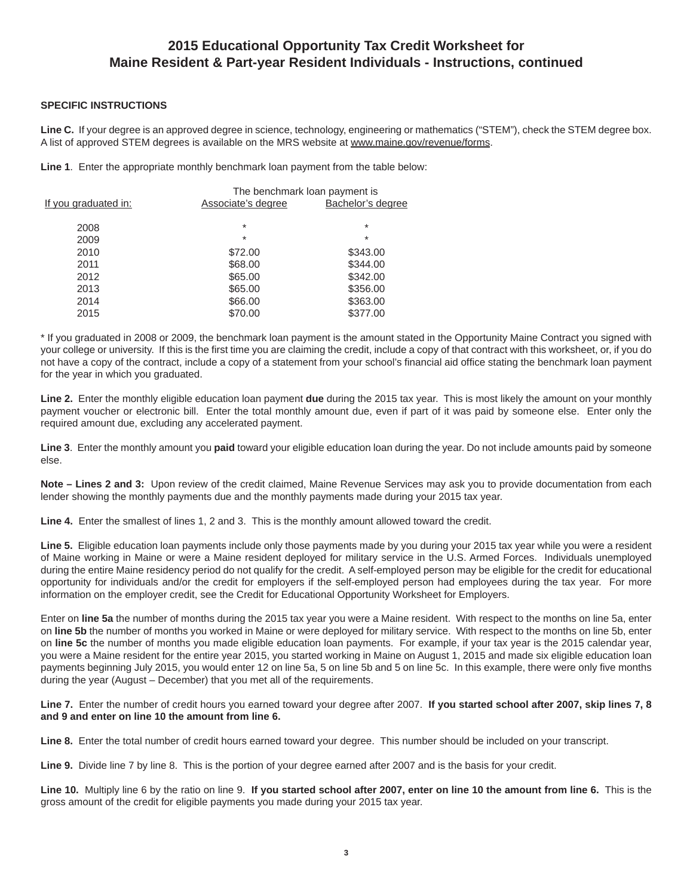### **2015 Educational Opportunity Tax Credit Worksheet for Maine Resident & Part-year Resident Individuals - Instructions, continued**

#### **SPECIFIC INSTRUCTIONS**

**Line C.** If your degree is an approved degree in science, technology, engineering or mathematics ("STEM"), check the STEM degree box. A list of approved STEM degrees is available on the MRS website at www.maine.gov/revenue/forms.

**Line 1**. Enter the appropriate monthly benchmark loan payment from the table below:

| The benchmark loan payment is |                   |  |
|-------------------------------|-------------------|--|
| Associate's degree            | Bachelor's degree |  |
|                               |                   |  |
|                               | $\star$           |  |
| $\ast$                        | $\star$           |  |
| \$72.00                       | \$343.00          |  |
| \$68.00                       | \$344.00          |  |
| \$65.00                       | \$342.00          |  |
| \$65.00                       | \$356.00          |  |
| \$66.00                       | \$363.00          |  |
| \$70.00                       | \$377.00          |  |
|                               | $\star$           |  |

\* If you graduated in 2008 or 2009, the benchmark loan payment is the amount stated in the Opportunity Maine Contract you signed with your college or university. If this is the first time you are claiming the credit, include a copy of that contract with this worksheet, or, if you do not have a copy of the contract, include a copy of a statement from your school's financial aid office stating the benchmark loan payment for the year in which you graduated.

**Line 2.** Enter the monthly eligible education loan payment **due** during the 2015 tax year. This is most likely the amount on your monthly payment voucher or electronic bill. Enter the total monthly amount due, even if part of it was paid by someone else. Enter only the required amount due, excluding any accelerated payment.

**Line 3**. Enter the monthly amount you **paid** toward your eligible education loan during the year. Do not include amounts paid by someone else.

**Note – Lines 2 and 3:** Upon review of the credit claimed, Maine Revenue Services may ask you to provide documentation from each lender showing the monthly payments due and the monthly payments made during your 2015 tax year.

**Line 4.** Enter the smallest of lines 1, 2 and 3. This is the monthly amount allowed toward the credit.

**Line 5.** Eligible education loan payments include only those payments made by you during your 2015 tax year while you were a resident of Maine working in Maine or were a Maine resident deployed for military service in the U.S. Armed Forces. Individuals unemployed during the entire Maine residency period do not qualify for the credit. A self-employed person may be eligible for the credit for educational opportunity for individuals and/or the credit for employers if the self-employed person had employees during the tax year. For more information on the employer credit, see the Credit for Educational Opportunity Worksheet for Employers.

Enter on **line 5a** the number of months during the 2015 tax year you were a Maine resident. With respect to the months on line 5a, enter on **line 5b** the number of months you worked in Maine or were deployed for military service. With respect to the months on line 5b, enter on **line 5c** the number of months you made eligible education loan payments. For example, if your tax year is the 2015 calendar year, you were a Maine resident for the entire year 2015, you started working in Maine on August 1, 2015 and made six eligible education loan payments beginning July 2015, you would enter 12 on line 5a, 5 on line 5b and 5 on line 5c. In this example, there were only five months during the year (August – December) that you met all of the requirements.

**Line 7.** Enter the number of credit hours you earned toward your degree after 2007. **If you started school after 2007, skip lines 7, 8 and 9 and enter on line 10 the amount from line 6.**

**Line 8.** Enter the total number of credit hours earned toward your degree. This number should be included on your transcript.

**Line 9.** Divide line 7 by line 8. This is the portion of your degree earned after 2007 and is the basis for your credit.

**Line 10.** Multiply line 6 by the ratio on line 9. **If you started school after 2007, enter on line 10 the amount from line 6.** This is the gross amount of the credit for eligible payments you made during your 2015 tax year.